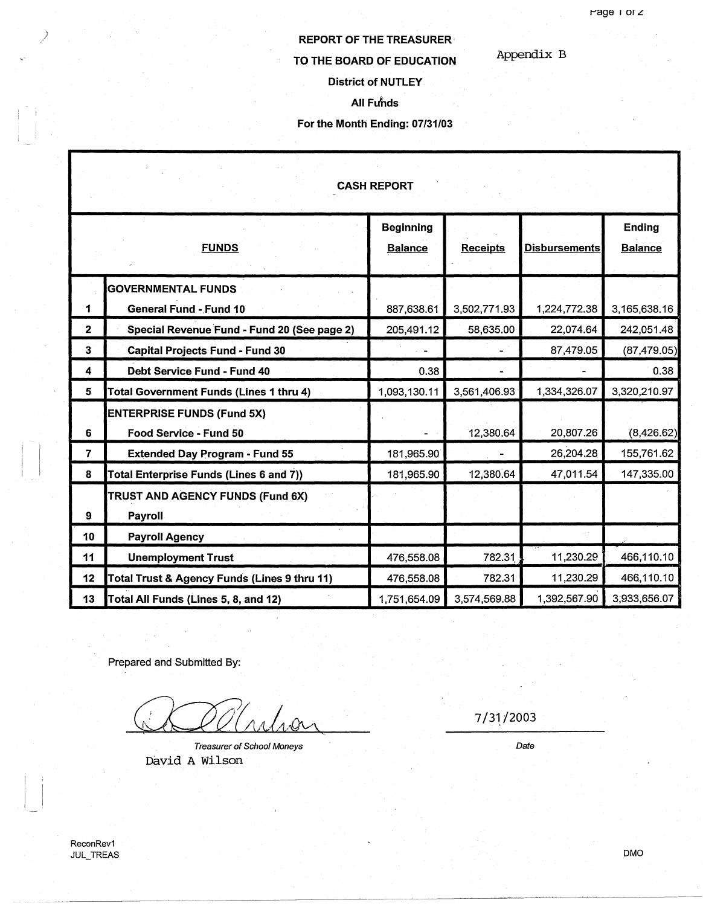### Appendix B

# **TO THE BOARD OF EDUCATION**

**REPORT OF THE TREASURER·** 

# **District of NUTLEY**

### **All Fu'nds**

### **For the Month Ending: 07/31/03**

| <b>CASH REPORT</b> |                                                            |                                    |                 |                      |                                 |
|--------------------|------------------------------------------------------------|------------------------------------|-----------------|----------------------|---------------------------------|
|                    | <b>FUNDS</b>                                               | <b>Beginning</b><br><b>Balance</b> | <b>Receipts</b> | <b>Disbursements</b> | <b>Ending</b><br><b>Balance</b> |
| 1                  | <b>GOVERNMENTAL FUNDS</b><br><b>General Fund - Fund 10</b> | 887,638.61                         | 3,502,771.93    | 1,224,772.38         | 3,165,638.16                    |
| $\mathbf{2}$       | Special Revenue Fund - Fund 20 (See page 2)                | 205,491.12                         | 58,635.00       | 22,074.64            | 242,051.48                      |
| 3 <sup>2</sup>     | <b>Capital Projects Fund - Fund 30</b>                     |                                    |                 | 87,479.05            | (87, 479.05)                    |
| 4                  | Debt Service Fund - Fund 40                                | 0.38                               |                 |                      | 0.38                            |
| 5                  | <b>Total Government Funds (Lines 1 thru 4)</b>             | 1,093,130.11                       | 3,561,406.93    | 1,334,326.07         | 3,320,210.97                    |
|                    | <b>ENTERPRISE FUNDS (Fund 5X)</b>                          |                                    |                 |                      |                                 |
| 6                  | Food Service - Fund 50                                     |                                    | 12,380.64       | 20,807.26            | (8,426.62)                      |
| $\overline{7}$     | <b>Extended Day Program - Fund 55</b>                      | 181,965.90                         |                 | 26,204.28            | 155,761.62                      |
| 8                  | Total Enterprise Funds (Lines 6 and 7))                    | 181,965.90                         | 12,380.64       | 47,011.54            | 147,335.00                      |
| 9                  | TRUST AND AGENCY FUNDS (Fund 6X)<br>Payroll                |                                    |                 |                      |                                 |
| 10                 | <b>Payroll Agency</b>                                      |                                    |                 |                      |                                 |
| 11                 | <b>Unemployment Trust</b>                                  | 476,558.08                         | 782.31          | 11,230.29            | 466,110.10                      |
| 12                 | Total Trust & Agency Funds (Lines 9 thru 11)               | 476,558.08                         | 782.31          | 11,230.29            | 466,110.10                      |
| 13                 | Total All Funds (Lines 5, 8, and 12)                       | 1,751,654.09                       | 3,574,569.88    | 1,392,567.90         | 3,933,656.07                    |

Prepared and Submitted By:

.<br>2

Treasurer of School Moneys David A Wilson

7 /31,/2003

Date

*)* 

DMD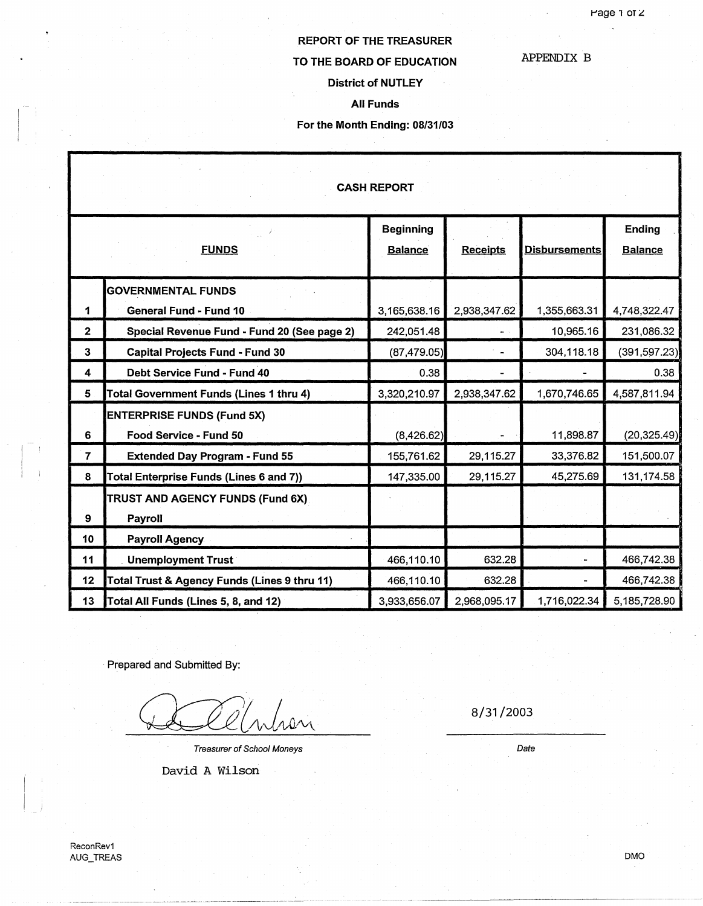APPENDIX B

## REPORT OF THE TREASURER

### TO THE BOARD OF EDUCATION

### District of NUTLEY

 $\bar{x}$ 

All Funds

### For the Month Ending: 08/31/03

| <b>CASH REPORT</b>      |                                                             |                                    |                 |                      |                          |  |
|-------------------------|-------------------------------------------------------------|------------------------------------|-----------------|----------------------|--------------------------|--|
|                         | <b>FUNDS</b>                                                | <b>Beginning</b><br><b>Balance</b> | <b>Receipts</b> | <b>Disbursements</b> | Ending<br><b>Balance</b> |  |
| 1                       | <b>GOVERNMENTAL FUNDS</b><br>General Fund - Fund 10         | 3,165,638.16                       | 2,938,347.62    | 1,355,663.31         | 4,748,322.47             |  |
| $\mathbf 2$             | Special Revenue Fund - Fund 20 (See page 2)                 | 242,051.48                         |                 | 10,965.16            | 231,086.32               |  |
| 3                       | <b>Capital Projects Fund - Fund 30</b>                      | (87, 479.05)                       |                 | 304,118.18           | (391, 597.23)            |  |
| $\overline{\mathbf{4}}$ | Debt Service Fund - Fund 40                                 | 0.38                               |                 |                      | 0.38                     |  |
| 5                       | <b>Total Government Funds (Lines 1 thru 4)</b>              | 3,320,210.97                       | 2,938,347.62    | 1,670,746.65         | 4,587,811.94             |  |
| 6                       | <b>ENTERPRISE FUNDS (Fund 5X)</b><br>Food Service - Fund 50 | (8,426.62)                         |                 | 11,898.87            | (20, 325.49)             |  |
| $\overline{7}$          | <b>Extended Day Program - Fund 55</b>                       | 155,761.62                         | 29,115.27       | 33,376.82            | 151,500.07               |  |
| 8                       | Total Enterprise Funds (Lines 6 and 7))                     | 147,335.00                         | 29,115.27       | 45,275.69            | 131,174.58               |  |
| 9                       | TRUST AND AGENCY FUNDS (Fund 6X)<br>Payroll                 |                                    |                 |                      |                          |  |
| 10                      | <b>Payroll Agency</b>                                       |                                    |                 |                      |                          |  |
| 11                      | <b>Unemployment Trust</b>                                   | 466,110.10                         | 632.28          |                      | 466,742.38               |  |
| 12                      | Total Trust & Agency Funds (Lines 9 thru 11)                | 466,110.10                         | 632.28          |                      | 466,742.38               |  |
| 13                      | Total All Funds (Lines 5, 8, and 12)                        | 3,933,656.07                       | 2,968,095.17    | 1,716,022.34         | 5,185,728.90             |  |

· Prepared and Submitted By:

Treasurer of School Moneys

David A Wilson

8/31/2003

Date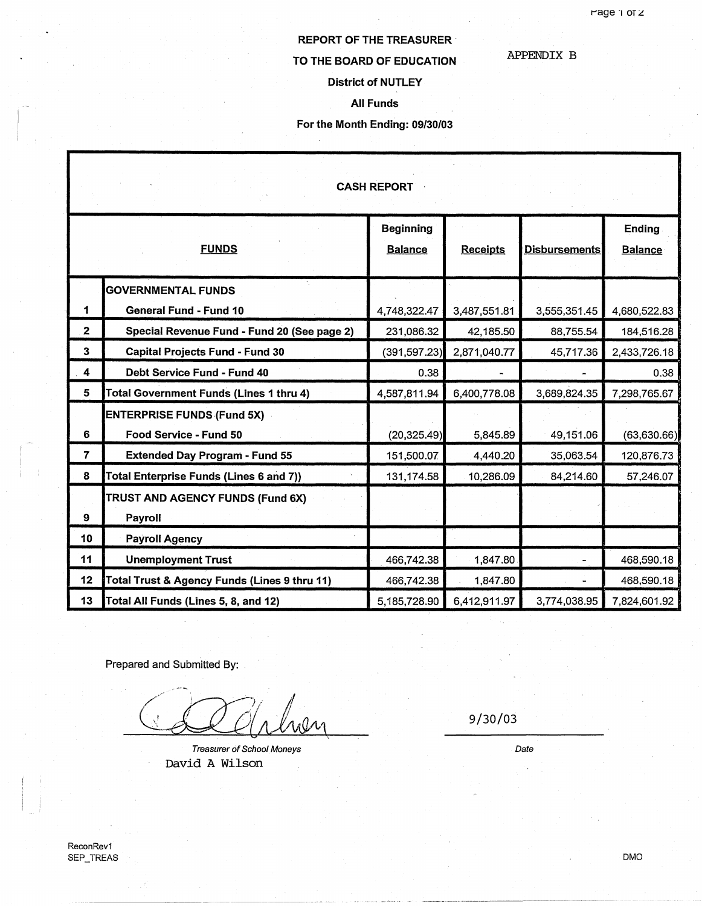# **REPORT OF THE TREASURER** ·

# **TO THE BOARD OF EDUCATION**

APPENDIX B

### **District of NUTLEY**

**All Funds** 

### **For the Month Ending: 09/30/03**

| <b>CASH REPORT</b>      |                                                                              |                                    |                           |                           |                            |
|-------------------------|------------------------------------------------------------------------------|------------------------------------|---------------------------|---------------------------|----------------------------|
|                         | <b>FUNDS</b>                                                                 | <b>Beginning</b><br><b>Balance</b> | <b>Receipts</b>           | <b>Disbursements</b>      | Ending<br><b>Balance</b>   |
|                         | <b>GOVERNMENTAL FUNDS</b>                                                    |                                    |                           |                           |                            |
| 1<br>$\mathbf{2}$       | <b>General Fund - Fund 10</b><br>Special Revenue Fund - Fund 20 (See page 2) | 4,748,322.47<br>231,086.32         | 3,487,551.81<br>42,185.50 | 3,555,351.45<br>88,755.54 | 4,680,522.83<br>184,516.28 |
| 3                       | <b>Capital Projects Fund - Fund 30</b>                                       | (391, 597.23)                      | 2,871,040.77              | 45,717.36                 | 2,433,726.18               |
| $\overline{\mathbf{4}}$ | Debt Service Fund - Fund 40                                                  | 0.38                               |                           |                           | 0.38                       |
| 5                       | <b>Total Government Funds (Lines 1 thru 4)</b>                               | 4,587,811.94                       | 6,400,778.08              | 3,689,824.35              | 7,298,765.67               |
| 6                       | <b>ENTERPRISE FUNDS (Fund 5X)</b><br>Food Service - Fund 50                  | (20, 325.49)                       | 5,845.89                  | 49,151.06                 | (63,630.66)                |
| $\overline{7}$          | <b>Extended Day Program - Fund 55</b>                                        | 151,500.07                         | 4,440.20                  | 35,063.54                 | 120,876.73                 |
| 8                       | Total Enterprise Funds (Lines 6 and 7))                                      | 131,174.58                         | 10,286.09                 | 84,214.60                 | 57,246.07                  |
| 9                       | TRUST AND AGENCY FUNDS (Fund 6X)<br>Payroll                                  |                                    |                           |                           |                            |
| 10                      | <b>Payroll Agency</b>                                                        |                                    |                           |                           |                            |
| 11                      | <b>Unemployment Trust</b>                                                    | 466,742.38                         | 1,847.80                  |                           | 468,590.18                 |
| 12                      | Total Trust & Agency Funds (Lines 9 thru 11)                                 | 466,742.38                         | 1,847.80                  |                           | 468,590.18                 |
| 13                      | Total All Funds (Lines 5, 8, and 12)                                         | 5,185,728.90                       | 6,412,911.97              | 3,774,038.95              | 7,824,601.92               |

Prepared and Submitted By:

Treasurer of School Moneys David A Wilson

9/30/03

Date

OMO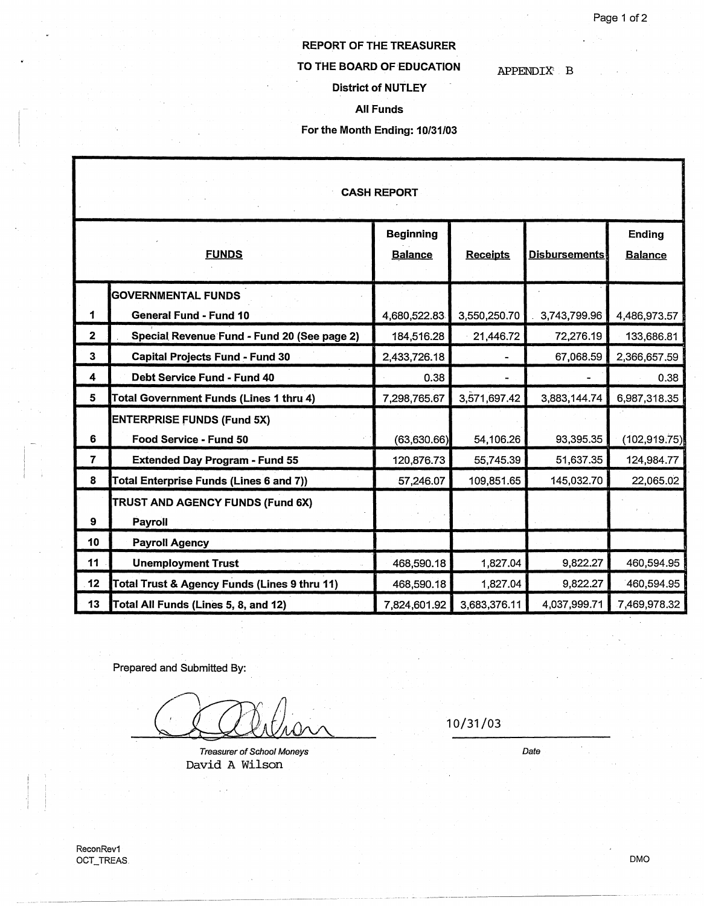APPENDIX: B

# REPORT OF THE TREASURER

### TO THE BOARD OF EDUCATION

### District of NUTLEY

All Funds

### For the Month Ending: 10/31/03

| <b>CASH REPORT</b> |                                                |                                    |                 |                      |                          |  |
|--------------------|------------------------------------------------|------------------------------------|-----------------|----------------------|--------------------------|--|
|                    | <b>FUNDS</b>                                   | <b>Beginning</b><br><b>Balance</b> | <b>Receipts</b> | <b>Disbursements</b> | Ending<br><b>Balance</b> |  |
|                    | <b>GOVERNMENTAL FUNDS</b>                      |                                    |                 |                      |                          |  |
| 1                  | <b>General Fund - Fund 10</b>                  | 4,680,522.83                       | 3,550,250.70    | 3,743,799.96         | 4,486,973.57             |  |
| $\mathbf{2}$       | Special Revenue Fund - Fund 20 (See page 2)    | 184,516.28                         | 21,446.72       | 72,276.19            | 133,686.81               |  |
| 3                  | <b>Capital Projects Fund - Fund 30</b>         | 2,433,726.18                       |                 | 67,068.59            | 2,366,657.59             |  |
| 4                  | Debt Service Fund - Fund 40                    | 0.38                               |                 |                      | 0.38                     |  |
| 5                  | <b>Total Government Funds (Lines 1 thru 4)</b> | 7,298,765.67                       | 3,571,697.42    | 3,883,144.74         | 6,987,318.35             |  |
|                    | <b>ENTERPRISE FUNDS (Fund 5X)</b>              |                                    |                 |                      |                          |  |
| 6                  | Food Service - Fund 50                         | (63,630.66)                        | 54,106.26       | 93,395.35            | (102, 919.75)            |  |
| $\overline{7}$     | <b>Extended Day Program - Fund 55</b>          | 120,876.73                         | 55,745.39       | 51,637.35            | 124,984.77               |  |
| 8                  | Total Enterprise Funds (Lines 6 and 7))        | 57,246.07                          | 109,851.65      | 145,032.70           | 22,065.02                |  |
|                    | TRUST AND AGENCY FUNDS (Fund 6X)               |                                    |                 |                      |                          |  |
| 9                  | Payroll                                        |                                    |                 |                      |                          |  |
| 10                 | <b>Payroll Agency</b>                          |                                    |                 |                      |                          |  |
| 11                 | <b>Unemployment Trust</b>                      | 468,590.18                         | 1,827.04        | 9,822.27             | 460,594.95               |  |
| 12                 | Total Trust & Agency Funds (Lines 9 thru 11)   | 468,590.18                         | 1,827.04        | 9,822.27             | 460,594.95               |  |
| 13                 | Total All Funds (Lines 5, 8, and 12)           | 7,824,601.92                       | 3,683,376.11    | 4,037,999.71         | 7,469,978.32             |  |

Prepared and Submitted By:

 $\bigcirc$   $\bigcirc$   $\bigcirc$   $\bigcirc$   $\bigcirc$   $\bigcirc$   $\bigcirc$   $\bigcirc$   $\bigcirc$   $\bigcirc$   $\bigcirc$   $\bigcirc$   $\bigcirc$   $\bigcirc$   $\bigcirc$   $\bigcirc$   $\bigcirc$   $\bigcirc$   $\bigcirc$   $\bigcirc$   $\bigcirc$   $\bigcirc$   $\bigcirc$   $\bigcirc$   $\bigcirc$   $\bigcirc$   $\bigcirc$   $\bigcirc$   $\bigcirc$   $\bigcirc$   $\bigcirc$   $\bigcirc$   $\bigcirc$   $\bigcirc$   $\bigcirc$   $\bigcirc$   $\bigcirc$ 

Treasurer of School Moneys David A Wilson

Date

OMO